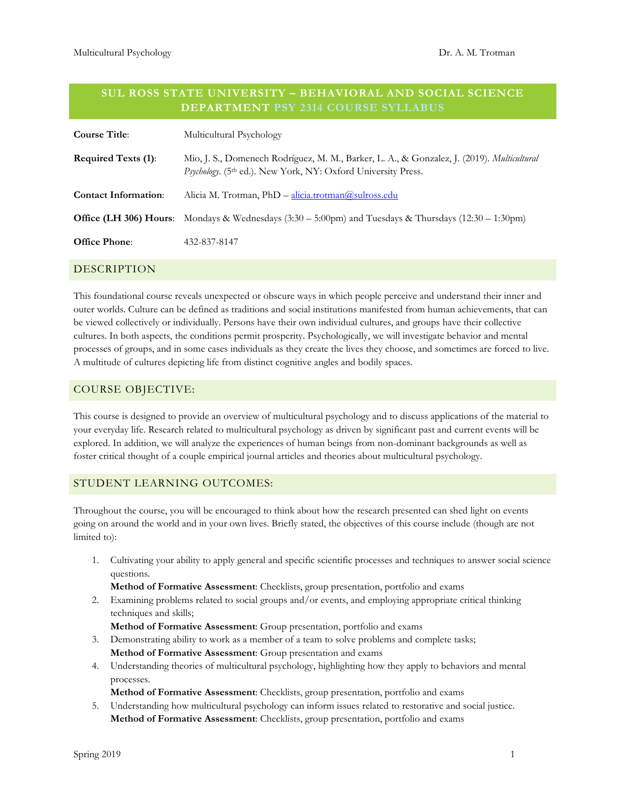### **SUL ROSS STATE UNIVERSITY – BEHAVIORAL AND SOCIAL SCIENCE DEPARTMENT PSY 2314 COURSE SYLLABUS**

| <b>Course Title:</b>        | Multicultural Psychology                                                                                                                                    |
|-----------------------------|-------------------------------------------------------------------------------------------------------------------------------------------------------------|
| <b>Required Texts (1):</b>  | Mio, J. S., Domenech Rodríguez, M. M., Barker, L. A., & Gonzalez, J. (2019). Multicultural<br>Psychology. (5th ed.). New York, NY: Oxford University Press. |
| <b>Contact Information:</b> | Alicia M. Trotman, PhD - alicia.trotman@sulross.edu                                                                                                         |
|                             | <b>Office (LH 306) Hours</b> : Mondays & Wednesdays $(3.30 - 5.00)$ and Tuesdays & Thursdays $(12.30 - 1.30)$ m                                             |
| <b>Office Phone:</b>        | 432-837-8147                                                                                                                                                |
|                             |                                                                                                                                                             |

# DESCRIPTION

This foundational course reveals unexpected or obscure ways in which people perceive and understand their inner and outer worlds. Culture can be defined as traditions and social institutions manifested from human achievements, that can be viewed collectively or individually. Persons have their own individual cultures, and groups have their collective cultures. In both aspects, the conditions permit prosperity. Psychologically, we will investigate behavior and mental processes of groups, and in some cases individuals as they create the lives they choose, and sometimes are forced to live. A multitude of cultures depicting life from distinct cognitive angles and bodily spaces.

#### COURSE OBJECTIVE:

This course is designed to provide an overview of multicultural psychology and to discuss applications of the material to your everyday life. Research related to multicultural psychology as driven by significant past and current events will be explored. In addition, we will analyze the experiences of human beings from non-dominant backgrounds as well as foster critical thought of a couple empirical journal articles and theories about multicultural psychology.

### STUDENT LEARNING OUTCOMES:

Throughout the course, you will be encouraged to think about how the research presented can shed light on events going on around the world and in your own lives. Briefly stated, the objectives of this course include (though are not limited to):

1. Cultivating your ability to apply general and specific scientific processes and techniques to answer social science questions.

**Method of Formative Assessment**: Checklists, group presentation, portfolio and exams

2. Examining problems related to social groups and/or events, and employing appropriate critical thinking techniques and skills;

**Method of Formative Assessment**: Group presentation, portfolio and exams

- 3. Demonstrating ability to work as a member of a team to solve problems and complete tasks; **Method of Formative Assessment**: Group presentation and exams
- 4. Understanding theories of multicultural psychology, highlighting how they apply to behaviors and mental processes.

**Method of Formative Assessment**: Checklists, group presentation, portfolio and exams

5. Understanding how multicultural psychology can inform issues related to restorative and social justice. **Method of Formative Assessment**: Checklists, group presentation, portfolio and exams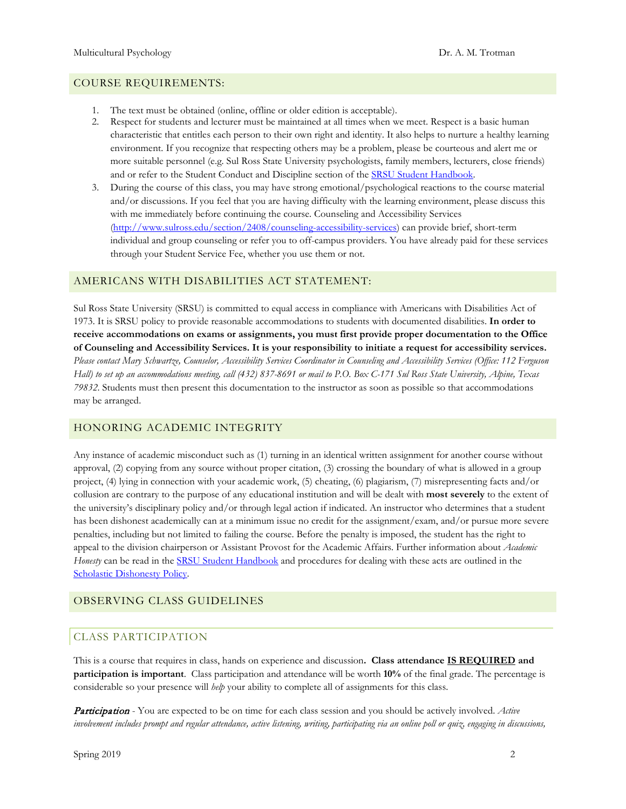#### COURSE REQUIREMENTS:

- 1. The text must be obtained (online, offline or older edition is acceptable).
- 2. Respect for students and lecturer must be maintained at all times when we meet. Respect is a basic human characteristic that entitles each person to their own right and identity. It also helps to nurture a healthy learning environment. If you recognize that respecting others may be a problem, please be courteous and alert me or more suitable personnel (e.g. Sul Ross State University psychologists, family members, lecturers, close friends) and or refer to the Student Conduct and Discipline section of the [SRSU Student Handbook.](http://www.sulross.edu/sites/default/files/sites/default/files/users/docs/stulife/student_conduct_discipline.pdf)
- 3. During the course of this class, you may have strong emotional/psychological reactions to the course material and/or discussions. If you feel that you are having difficulty with the learning environment, please discuss this with me immediately before continuing the course. Counseling and Accessibility Services [\(http://www.sulross.edu/section/2408/counseling-accessibility-services\)](http://www.sulross.edu/section/2408/counseling-accessibility-services) can provide brief, short-term individual and group counseling or refer you to off-campus providers. You have already paid for these services through your Student Service Fee, whether you use them or not.

### AMERICANS WITH DISABILITIES ACT STATEMENT:

Sul Ross State University (SRSU) is committed to equal access in compliance with Americans with Disabilities Act of 1973. It is SRSU policy to provide reasonable accommodations to students with documented disabilities. **In order to receive accommodations on exams or assignments, you must first provide proper documentation to the Office of Counseling and Accessibility Services. It is your responsibility to initiate a request for accessibility services.** *Please contact Mary Schwartze, Counselor, Accessibility Services Coordinator in Counseling and Accessibility Services (Office: 112 Ferguson Hall) to set up an accommodations meeting, call (432) 837-8691 or mail to P.O. Box C-171 Sul Ross State University, Alpine, Texas 79832*. Students must then present this documentation to the instructor as soon as possible so that accommodations may be arranged.

### HONORING ACADEMIC INTEGRITY

Any instance of academic misconduct such as (1) turning in an identical written assignment for another course without approval, (2) copying from any source without proper citation, (3) crossing the boundary of what is allowed in a group project, (4) lying in connection with your academic work, (5) cheating, (6) plagiarism, (7) misrepresenting facts and/or collusion are contrary to the purpose of any educational institution and will be dealt with **most severely** to the extent of the university's disciplinary policy and/or through legal action if indicated. An instructor who determines that a student has been dishonest academically can at a minimum issue no credit for the assignment/exam, and/or pursue more severe penalties, including but not limited to failing the course. Before the penalty is imposed, the student has the right to appeal to the division chairperson or Assistant Provost for the Academic Affairs. Further information about *Academic Honesty* can be read in the **SRSU Student Handbook** and procedures for dealing with these acts are outlined in the [Scholastic Dishonesty Policy.](http://www.sulross.edu/sites/default/files/sites/default/files/users/docs/admin/2014catalogstuservgenac.pdf)

### OBSERVING CLASS GUIDELINES

### CLASS PARTICIPATION

This is a course that requires in class, hands on experience and discussion**. Class attendance IS REQUIRED and participation is important**. Class participation and attendance will be worth **10%** of the final grade. The percentage is considerable so your presence will *help* your ability to complete all of assignments for this class.

Participation - You are expected to be on time for each class session and you should be actively involved. *Active involvement includes prompt and regular attendance, active listening, writing, participating via an online poll or quiz, engaging in discussions,*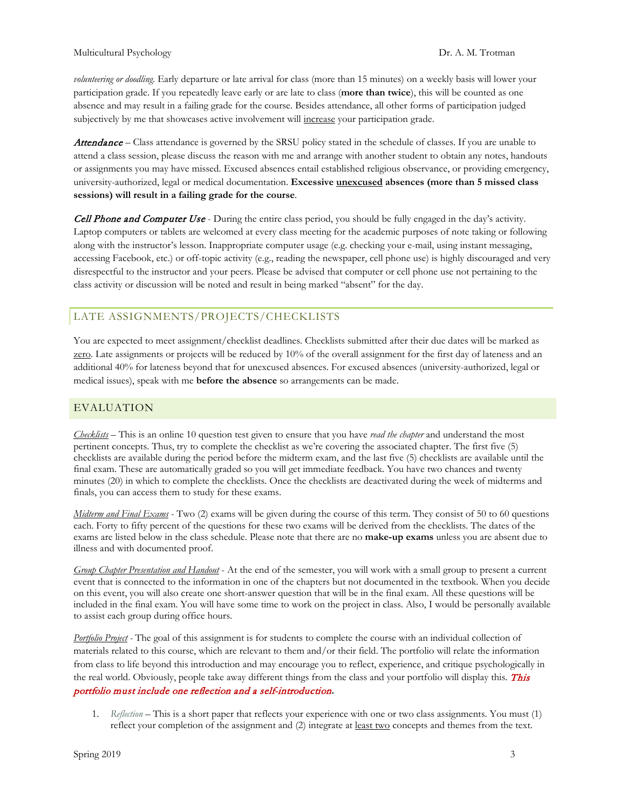*volunteering or doodling*. Early departure or late arrival for class (more than 15 minutes) on a weekly basis will lower your participation grade. If you repeatedly leave early or are late to class (**more than twice**), this will be counted as one absence and may result in a failing grade for the course. Besides attendance, all other forms of participation judged subjectively by me that showcases active involvement will increase your participation grade.

Attendance – Class attendance is governed by the SRSU policy stated in the schedule of classes. If you are unable to attend a class session, please discuss the reason with me and arrange with another student to obtain any notes, handouts or assignments you may have missed. Excused absences entail established religious observance, or providing emergency, university-authorized, legal or medical documentation. **Excessive unexcused absences (more than 5 missed class sessions) will result in a failing grade for the course**.

**Cell Phone and Computer Use** - During the entire class period, you should be fully engaged in the day's activity. Laptop computers or tablets are welcomed at every class meeting for the academic purposes of note taking or following along with the instructor's lesson. Inappropriate computer usage (e.g. checking your e-mail, using instant messaging, accessing Facebook, etc.) or off-topic activity (e.g., reading the newspaper, cell phone use) is highly discouraged and very disrespectful to the instructor and your peers. Please be advised that computer or cell phone use not pertaining to the class activity or discussion will be noted and result in being marked "absent" for the day.

# LATE ASSIGNMENTS/PROJECTS/CHECKLISTS

You are expected to meet assignment/checklist deadlines. Checklists submitted after their due dates will be marked as zero. Late assignments or projects will be reduced by 10% of the overall assignment for the first day of lateness and an additional 40% for lateness beyond that for unexcused absences. For excused absences (university-authorized, legal or medical issues), speak with me **before the absence** so arrangements can be made.

# EVALUATION

*Checklists* – This is an online 10 question test given to ensure that you have *read the chapter* and understand the most pertinent concepts. Thus, try to complete the checklist as we're covering the associated chapter. The first five (5) checklists are available during the period before the midterm exam, and the last five (5) checklists are available until the final exam. These are automatically graded so you will get immediate feedback. You have two chances and twenty minutes (20) in which to complete the checklists. Once the checklists are deactivated during the week of midterms and finals, you can access them to study for these exams.

*Midterm and Final Exams* - Two (2) exams will be given during the course of this term. They consist of 50 to 60 questions each. Forty to fifty percent of the questions for these two exams will be derived from the checklists. The dates of the exams are listed below in the class schedule. Please note that there are no **make-up exams** unless you are absent due to illness and with documented proof.

*Group Chapter Presentation and Handout* - At the end of the semester, you will work with a small group to present a current event that is connected to the information in one of the chapters but not documented in the textbook. When you decide on this event, you will also create one short-answer question that will be in the final exam. All these questions will be included in the final exam. You will have some time to work on the project in class. Also, I would be personally available to assist each group during office hours.

*Portfolio Project -* The goal of this assignment is for students to complete the course with an individual collection of materials related to this course, which are relevant to them and/or their field. The portfolio will relate the information from class to life beyond this introduction and may encourage you to reflect, experience, and critique psychologically in the real world. Obviously, people take away different things from the class and your portfolio will display this. This portfolio must include one reflection and a self-introduction**.**

1. *Reflection* – This is a short paper that reflects your experience with one or two class assignments. You must (1) reflect your completion of the assignment and (2) integrate at <u>least two</u> concepts and themes from the text.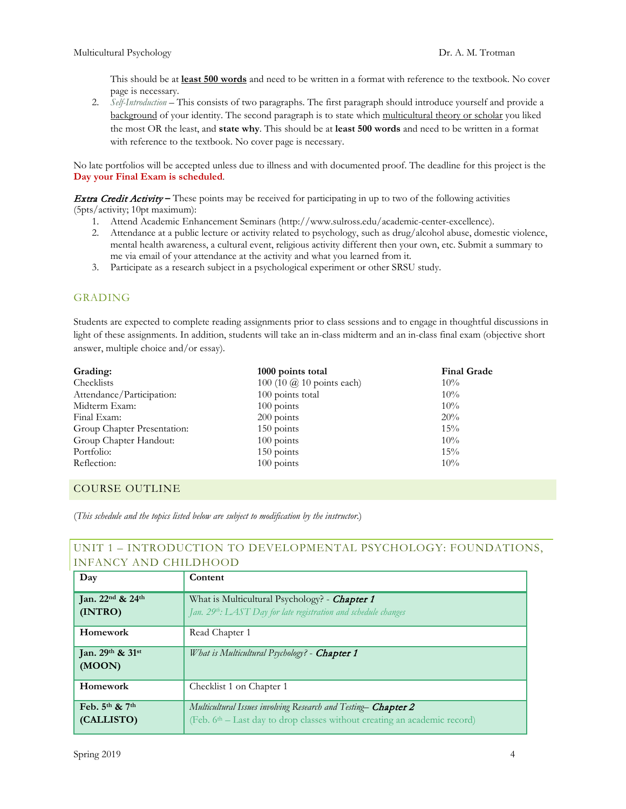This should be at **least 500 words** and need to be written in a format with reference to the textbook. No cover page is necessary.

2. *Self-Introduction* – This consists of two paragraphs. The first paragraph should introduce yourself and provide a background of your identity. The second paragraph is to state which multicultural theory or scholar you liked the most OR the least, and **state why**. This should be at **least 500 words** and need to be written in a format with reference to the textbook. No cover page is necessary.

No late portfolios will be accepted unless due to illness and with documented proof. The deadline for this project is the **Day your Final Exam is scheduled**.

Extra Credit Activity **–** These points may be received for participating in up to two of the following activities (5pts/activity; 10pt maximum):

- 1. Attend Academic Enhancement Seminars (http://www.sulross.edu/academic-center-excellence).
- 2. Attendance at a public lecture or activity related to psychology, such as drug/alcohol abuse, domestic violence, mental health awareness, a cultural event, religious activity different then your own, etc. Submit a summary to me via email of your attendance at the activity and what you learned from it.
- 3. Participate as a research subject in a psychological experiment or other SRSU study.

# GRADING

Students are expected to complete reading assignments prior to class sessions and to engage in thoughtful discussions in light of these assignments. In addition, students will take an in-class midterm and an in-class final exam (objective short answer, multiple choice and/or essay).

| Grading:                    | 1000 points total                | <b>Final Grade</b> |
|-----------------------------|----------------------------------|--------------------|
| Checklists                  | 100 (10 $\omega$ 10 points each) | $10\%$             |
| Attendance/Participation:   | 100 points total                 | $10\%$             |
| Midterm Exam:               | $100$ points                     | $10\%$             |
| Final Exam:                 | $200$ points                     | 20%                |
| Group Chapter Presentation: | $150$ points                     | $15\%$             |
| Group Chapter Handout:      | $100$ points                     | $10\%$             |
| Portfolio:                  | $150$ points                     | $15\%$             |
| Reflection:                 | $100$ points                     | $10\%$             |

# COURSE OUTLINE

(*This schedule and the topics listed below are subject to modification by the instructor*.)

# UNIT 1 – INTRODUCTION TO DEVELOPMENTAL PSYCHOLOGY: FOUNDATIONS, INFANCY AND CHILDHOOD

| Day                                                 | Content                                                                                                                                                 |
|-----------------------------------------------------|---------------------------------------------------------------------------------------------------------------------------------------------------------|
| Jan. 22 <sup>nd</sup> & 24 <sup>th</sup><br>(INTRO) | What is Multicultural Psychology? - Chapter 1<br>Jan. 29th: LAST Day for late registration and schedule changes                                         |
| Homework                                            | Read Chapter 1                                                                                                                                          |
| Jan. $29^{th}$ & $31^{st}$<br>(MOON)                | What is Multicultural Psychology? - Chapter 1                                                                                                           |
| Homework                                            | Checklist 1 on Chapter 1                                                                                                                                |
| Feb. $5^{th}$ & $7^{th}$<br>(CALLISTO)              | Multicultural Issues involving Research and Testing- Chapter 2<br>(Feb. 6 <sup>th</sup> – Last day to drop classes without creating an academic record) |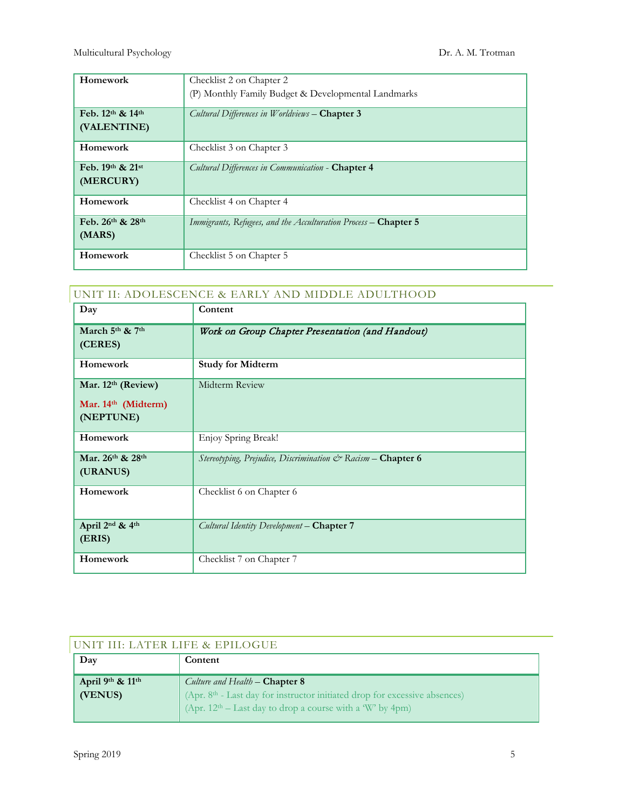| Homework                   | Checklist 2 on Chapter 2                                        |
|----------------------------|-----------------------------------------------------------------|
|                            | (P) Monthly Family Budget & Developmental Landmarks             |
| Feb. 12th & 14th           | Cultural Differences in Worldviews - Chapter 3                  |
| (VALENTINE)                |                                                                 |
| Homework                   | Checklist 3 on Chapter 3                                        |
| Feb. $19^{th}$ & $21^{st}$ | Cultural Differences in Communication - Chapter 4               |
| (MERCURY)                  |                                                                 |
| Homework                   | Checklist 4 on Chapter 4                                        |
| Feb. 26th & 28th           | Immigrants, Refugees, and the Acculturation Process - Chapter 5 |
| (MARS)                     |                                                                 |
| Homework                   | Checklist 5 on Chapter 5                                        |

| Day                                                      | Content                                                      |
|----------------------------------------------------------|--------------------------------------------------------------|
| March 5th & 7th<br>(CERES)                               | Work on Group Chapter Presentation (and Handout)             |
| Homework                                                 | <b>Study for Midterm</b>                                     |
| Mar. $12th$ (Review)<br>Mar. 14th (Midterm)<br>(NEPTUNE) | Midterm Review                                               |
| Homework                                                 | Enjoy Spring Break!                                          |
| Mar. 26th & 28th<br>(URANUS)                             | Stereotyping, Prejudice, Discrimination & Racism - Chapter 6 |
| Homework                                                 | Checklist 6 on Chapter 6                                     |
| April 2 <sup>nd</sup> & 4 <sup>th</sup><br>(ERIS)        | Cultural Identity Development - Chapter 7                    |
| Homework                                                 | Checklist 7 on Chapter 7                                     |

| UNIT III: LATER LIFE & EPILOGUE |                                                                                                                                                                                                 |
|---------------------------------|-------------------------------------------------------------------------------------------------------------------------------------------------------------------------------------------------|
| Day                             | Content                                                                                                                                                                                         |
| April 9th & 11th<br>(VENUS)     | Culture and Health – <b>Chapter 8</b><br>(Apr. 8 <sup>th</sup> - Last day for instructor initiated drop for excessive absences)<br>(Apr. $12th - Last day to drop a course with a W' by 4pm)$ ) |